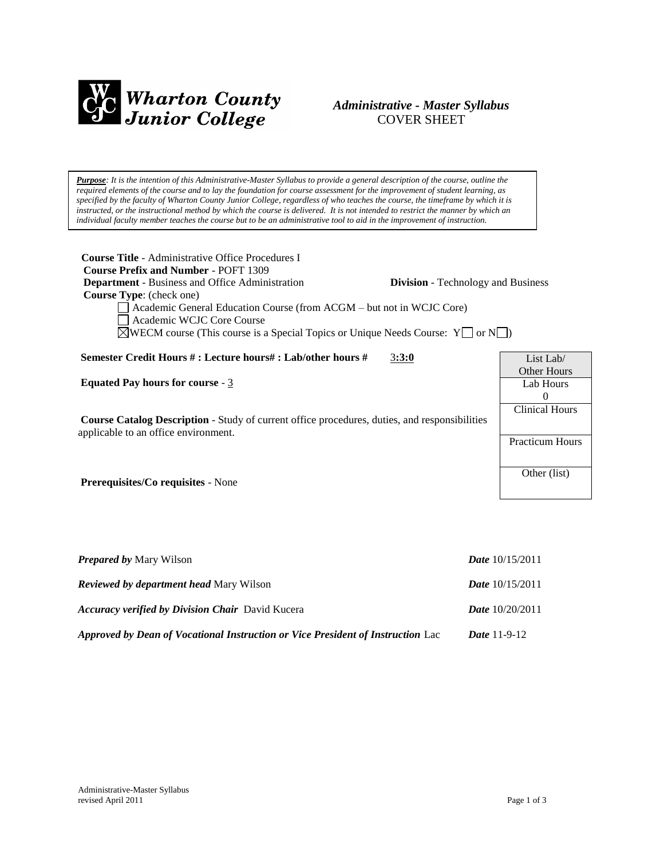

# *Administrative - Master Syllabus*  COVER SHEET

*Purpose: It is the intention of this Administrative-Master Syllabus to provide a general description of the course, outline the required elements of the course and to lay the foundation for course assessment for the improvement of student learning, as specified by the faculty of Wharton County Junior College, regardless of who teaches the course, the timeframe by which it is instructed, or the instructional method by which the course is delivered. It is not intended to restrict the manner by which an individual faculty member teaches the course but to be an administrative tool to aid in the improvement of instruction.*

| <b>Course Title</b> - Administrative Office Procedures I<br><b>Course Prefix and Number - POFT 1309</b><br><b>Department</b> - Business and Office Administration<br><b>Division</b> - Technology and Business<br><b>Course Type:</b> (check one)<br>Academic General Education Course (from ACGM – but not in WCJC Core)<br>Academic WCJC Core Course<br>$\triangle$ WECM course (This course is a Special Topics or Unique Needs Course: Y $\Box$ or N $\Box$ ) |                                             |
|-------------------------------------------------------------------------------------------------------------------------------------------------------------------------------------------------------------------------------------------------------------------------------------------------------------------------------------------------------------------------------------------------------------------------------------------------------------------|---------------------------------------------|
| Semester Credit Hours #: Lecture hours#: Lab/other hours #<br>3:3:0                                                                                                                                                                                                                                                                                                                                                                                               | List Lab                                    |
| Equated Pay hours for course - $3$                                                                                                                                                                                                                                                                                                                                                                                                                                | <b>Other Hours</b><br>Lab Hours<br>$\Omega$ |
| <b>Course Catalog Description</b> - Study of current office procedures, duties, and responsibilities<br>applicable to an office environment.                                                                                                                                                                                                                                                                                                                      | <b>Clinical Hours</b>                       |
|                                                                                                                                                                                                                                                                                                                                                                                                                                                                   | <b>Practicum Hours</b>                      |
| Prerequisites/Co requisites - None                                                                                                                                                                                                                                                                                                                                                                                                                                | Other (list)                                |
|                                                                                                                                                                                                                                                                                                                                                                                                                                                                   |                                             |

| <b>Prepared by Mary Wilson</b>                                                  | <i>Date</i> $10/15/2011$ |
|---------------------------------------------------------------------------------|--------------------------|
| <b>Reviewed by department head Mary Wilson</b>                                  | <b>Date</b> $10/15/2011$ |
| <b>Accuracy verified by Division Chair</b> David Kucera                         | <b>Date</b> $10/20/2011$ |
| Approved by Dean of Vocational Instruction or Vice President of Instruction Lac | <i>Date</i> $11-9-12$    |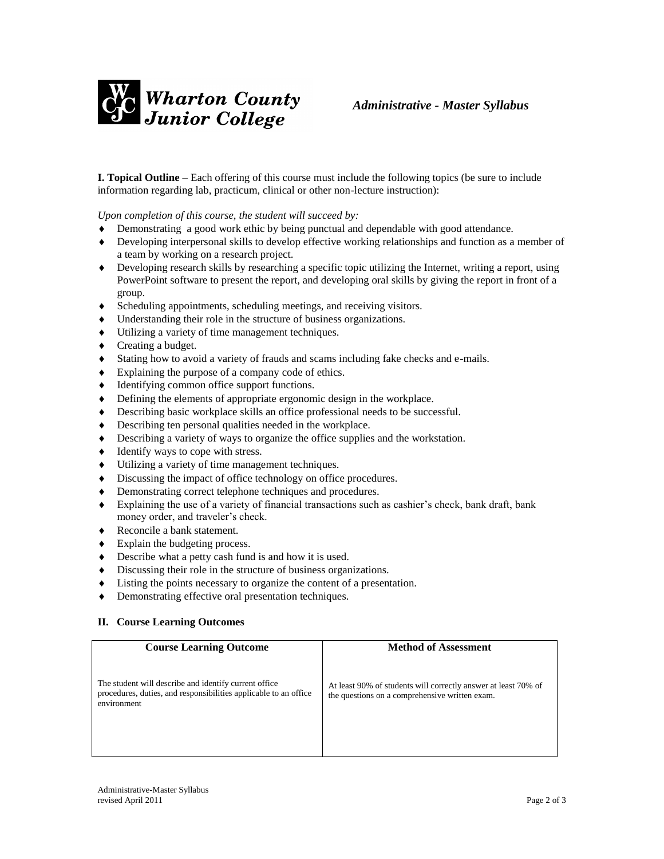

**I. Topical Outline** – Each offering of this course must include the following topics (be sure to include information regarding lab, practicum, clinical or other non-lecture instruction):

*Upon completion of this course, the student will succeed by:*

- Demonstrating a good work ethic by being punctual and dependable with good attendance.
- Developing interpersonal skills to develop effective working relationships and function as a member of a team by working on a research project.
- Developing research skills by researching a specific topic utilizing the Internet, writing a report, using PowerPoint software to present the report, and developing oral skills by giving the report in front of a group.
- Scheduling appointments, scheduling meetings, and receiving visitors.
- Understanding their role in the structure of business organizations.
- Utilizing a variety of time management techniques.
- Creating a budget.
- Stating how to avoid a variety of frauds and scams including fake checks and e-mails.
- Explaining the purpose of a company code of ethics.
- Identifying common office support functions.
- Defining the elements of appropriate ergonomic design in the workplace.
- Describing basic workplace skills an office professional needs to be successful.
- Describing ten personal qualities needed in the workplace.
- Describing a variety of ways to organize the office supplies and the workstation.
- $\blacklozenge$  Identify ways to cope with stress.
- Utilizing a variety of time management techniques.
- $\bullet$  Discussing the impact of office technology on office procedures.
- Demonstrating correct telephone techniques and procedures.
- Explaining the use of a variety of financial transactions such as cashier's check, bank draft, bank money order, and traveler's check.
- ◆ Reconcile a bank statement.
- Explain the budgeting process.
- Describe what a petty cash fund is and how it is used.
- Discussing their role in the structure of business organizations.
- Listing the points necessary to organize the content of a presentation.
- Demonstrating effective oral presentation techniques.

### **II. Course Learning Outcomes**

| <b>Course Learning Outcome</b>                                                                                                            | <b>Method of Assessment</b>                                                                                      |
|-------------------------------------------------------------------------------------------------------------------------------------------|------------------------------------------------------------------------------------------------------------------|
| The student will describe and identify current office.<br>procedures, duties, and responsibilities applicable to an office<br>environment | At least 90% of students will correctly answer at least 70% of<br>the questions on a comprehensive written exam. |